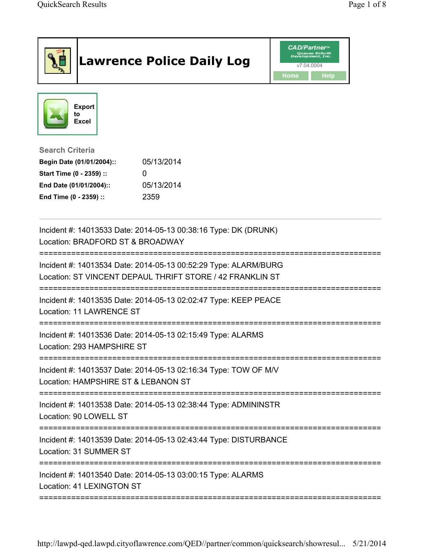|                                                                                                                                      | <b>Lawrence Police Daily Log</b>                                                                                             | <b>CAD/Partner</b> <sup>*</sup><br><b>Queues Enforth</b><br>evelopment, Inc.<br>v7.04.0004<br>Home<br>Help |
|--------------------------------------------------------------------------------------------------------------------------------------|------------------------------------------------------------------------------------------------------------------------------|------------------------------------------------------------------------------------------------------------|
| <b>Export</b><br>to<br><b>Excel</b>                                                                                                  |                                                                                                                              |                                                                                                            |
| <b>Search Criteria</b><br>Begin Date (01/01/2004)::<br>Start Time (0 - 2359) ::<br>End Date (01/01/2004)::<br>End Time (0 - 2359) :: | 05/13/2014<br>0<br>05/13/2014<br>2359                                                                                        |                                                                                                            |
| Location: BRADFORD ST & BROADWAY                                                                                                     | Incident #: 14013533 Date: 2014-05-13 00:38:16 Type: DK (DRUNK)                                                              |                                                                                                            |
|                                                                                                                                      | Incident #: 14013534 Date: 2014-05-13 00:52:29 Type: ALARM/BURG<br>Location: ST VINCENT DEPAUL THRIFT STORE / 42 FRANKLIN ST |                                                                                                            |
| <b>Location: 11 LAWRENCE ST</b>                                                                                                      | Incident #: 14013535 Date: 2014-05-13 02:02:47 Type: KEEP PEACE                                                              |                                                                                                            |
| Location: 293 HAMPSHIRE ST                                                                                                           | Incident #: 14013536 Date: 2014-05-13 02:15:49 Type: ALARMS                                                                  |                                                                                                            |
| Incident #: 14013537 Date: 2014-05-13 02:16:34 Type: TOW OF M/V<br>Location: HAMPSHIRE ST & LEBANON ST                               |                                                                                                                              |                                                                                                            |
| Location: 90 LOWELL ST                                                                                                               | Incident #: 14013538 Date: 2014-05-13 02:38:44 Type: ADMININSTR                                                              |                                                                                                            |
| Location: 31 SUMMER ST                                                                                                               | Incident #: 14013539 Date: 2014-05-13 02:43:44 Type: DISTURBANCE                                                             |                                                                                                            |
| Location: 41 LEXINGTON ST                                                                                                            | Incident #: 14013540 Date: 2014-05-13 03:00:15 Type: ALARMS                                                                  |                                                                                                            |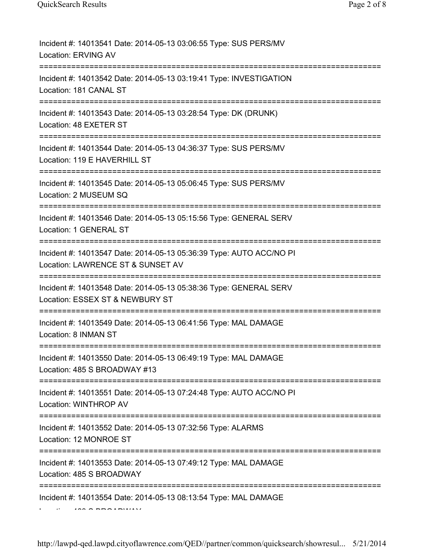| Incident #: 14013541 Date: 2014-05-13 03:06:55 Type: SUS PERS/MV<br><b>Location: ERVING AV</b>                                          |
|-----------------------------------------------------------------------------------------------------------------------------------------|
| Incident #: 14013542 Date: 2014-05-13 03:19:41 Type: INVESTIGATION<br>Location: 181 CANAL ST                                            |
| Incident #: 14013543 Date: 2014-05-13 03:28:54 Type: DK (DRUNK)<br>Location: 48 EXETER ST                                               |
| Incident #: 14013544 Date: 2014-05-13 04:36:37 Type: SUS PERS/MV<br>Location: 119 E HAVERHILL ST                                        |
| Incident #: 14013545 Date: 2014-05-13 05:06:45 Type: SUS PERS/MV<br>Location: 2 MUSEUM SQ                                               |
| Incident #: 14013546 Date: 2014-05-13 05:15:56 Type: GENERAL SERV<br>Location: 1 GENERAL ST                                             |
| Incident #: 14013547 Date: 2014-05-13 05:36:39 Type: AUTO ACC/NO PI<br>Location: LAWRENCE ST & SUNSET AV<br>=========================== |
| Incident #: 14013548 Date: 2014-05-13 05:38:36 Type: GENERAL SERV<br>Location: ESSEX ST & NEWBURY ST                                    |
| Incident #: 14013549 Date: 2014-05-13 06:41:56 Type: MAL DAMAGE<br>Location: 8 INMAN ST                                                 |
| Incident #: 14013550 Date: 2014-05-13 06:49:19 Type: MAL DAMAGE<br>Location: 485 S BROADWAY #13                                         |
| ========================<br>Incident #: 14013551 Date: 2014-05-13 07:24:48 Type: AUTO ACC/NO PI<br>Location: WINTHROP AV                |
| Incident #: 14013552 Date: 2014-05-13 07:32:56 Type: ALARMS<br>Location: 12 MONROE ST                                                   |
| Incident #: 14013553 Date: 2014-05-13 07:49:12 Type: MAL DAMAGE<br>Location: 485 S BROADWAY                                             |
| ===================<br>Incident #: 14013554 Date: 2014-05-13 08:13:54 Type: MAL DAMAGE                                                  |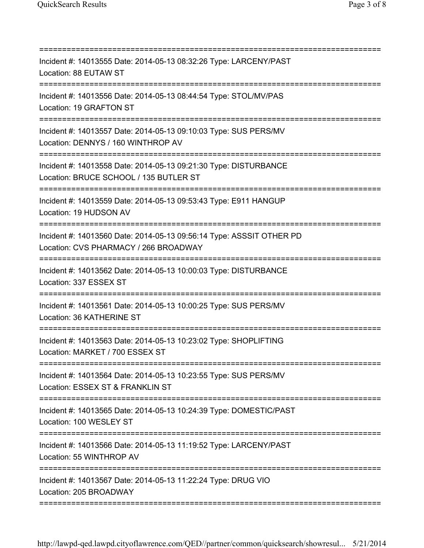| Incident #: 14013555 Date: 2014-05-13 08:32:26 Type: LARCENY/PAST<br>Location: 88 EUTAW ST                                           |
|--------------------------------------------------------------------------------------------------------------------------------------|
| Incident #: 14013556 Date: 2014-05-13 08:44:54 Type: STOL/MV/PAS<br>Location: 19 GRAFTON ST                                          |
| Incident #: 14013557 Date: 2014-05-13 09:10:03 Type: SUS PERS/MV<br>Location: DENNYS / 160 WINTHROP AV                               |
| Incident #: 14013558 Date: 2014-05-13 09:21:30 Type: DISTURBANCE<br>Location: BRUCE SCHOOL / 135 BUTLER ST                           |
| Incident #: 14013559 Date: 2014-05-13 09:53:43 Type: E911 HANGUP<br>Location: 19 HUDSON AV<br>====================================== |
| Incident #: 14013560 Date: 2014-05-13 09:56:14 Type: ASSSIT OTHER PD<br>Location: CVS PHARMACY / 266 BROADWAY                        |
| Incident #: 14013562 Date: 2014-05-13 10:00:03 Type: DISTURBANCE<br>Location: 337 ESSEX ST                                           |
| Incident #: 14013561 Date: 2014-05-13 10:00:25 Type: SUS PERS/MV<br>Location: 36 KATHERINE ST                                        |
| Incident #: 14013563 Date: 2014-05-13 10:23:02 Type: SHOPLIFTING<br>Location: MARKET / 700 ESSEX ST                                  |
| Incident #: 14013564 Date: 2014-05-13 10:23:55 Type: SUS PERS/MV<br>Location: ESSEX ST & FRANKLIN ST                                 |
| Incident #: 14013565 Date: 2014-05-13 10:24:39 Type: DOMESTIC/PAST<br>Location: 100 WESLEY ST                                        |
| Incident #: 14013566 Date: 2014-05-13 11:19:52 Type: LARCENY/PAST<br>Location: 55 WINTHROP AV                                        |
| Incident #: 14013567 Date: 2014-05-13 11:22:24 Type: DRUG VIO<br>Location: 205 BROADWAY                                              |
|                                                                                                                                      |

http://lawpd-qed.lawpd.cityoflawrence.com/QED//partner/common/quicksearch/showresul... 5/21/2014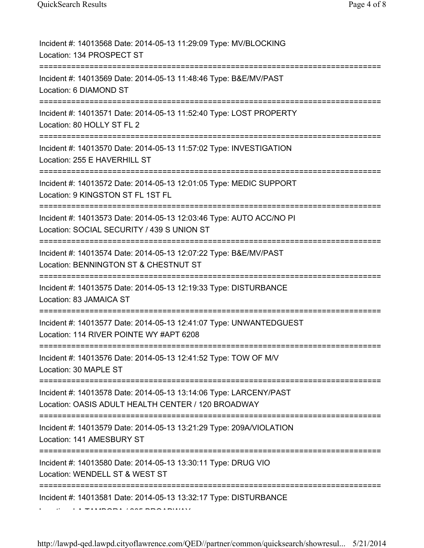| Incident #: 14013568 Date: 2014-05-13 11:29:09 Type: MV/BLOCKING<br>Location: 134 PROSPECT ST                                                   |
|-------------------------------------------------------------------------------------------------------------------------------------------------|
| Incident #: 14013569 Date: 2014-05-13 11:48:46 Type: B&E/MV/PAST<br>Location: 6 DIAMOND ST                                                      |
| Incident #: 14013571 Date: 2014-05-13 11:52:40 Type: LOST PROPERTY<br>Location: 80 HOLLY ST FL 2<br>===================================         |
| Incident #: 14013570 Date: 2014-05-13 11:57:02 Type: INVESTIGATION<br>Location: 255 E HAVERHILL ST                                              |
| Incident #: 14013572 Date: 2014-05-13 12:01:05 Type: MEDIC SUPPORT<br>Location: 9 KINGSTON ST FL 1ST FL                                         |
| Incident #: 14013573 Date: 2014-05-13 12:03:46 Type: AUTO ACC/NO PI<br>Location: SOCIAL SECURITY / 439 S UNION ST<br>========================== |
| Incident #: 14013574 Date: 2014-05-13 12:07:22 Type: B&E/MV/PAST<br>Location: BENNINGTON ST & CHESTNUT ST                                       |
| Incident #: 14013575 Date: 2014-05-13 12:19:33 Type: DISTURBANCE<br>Location: 83 JAMAICA ST                                                     |
| Incident #: 14013577 Date: 2014-05-13 12:41:07 Type: UNWANTEDGUEST<br>Location: 114 RIVER POINTE WY #APT 6208                                   |
| Incident #: 14013576 Date: 2014-05-13 12:41:52 Type: TOW OF M/V<br>Location: 30 MAPLE ST                                                        |
| Incident #: 14013578 Date: 2014-05-13 13:14:06 Type: LARCENY/PAST<br>Location: OASIS ADULT HEALTH CENTER / 120 BROADWAY                         |
| Incident #: 14013579 Date: 2014-05-13 13:21:29 Type: 209A/VIOLATION<br>Location: 141 AMESBURY ST                                                |
| Incident #: 14013580 Date: 2014-05-13 13:30:11 Type: DRUG VIO<br>Location: WENDELL ST & WEST ST<br>=========                                    |
| Incident #: 14013581 Date: 2014-05-13 13:32:17 Type: DISTURBANCE                                                                                |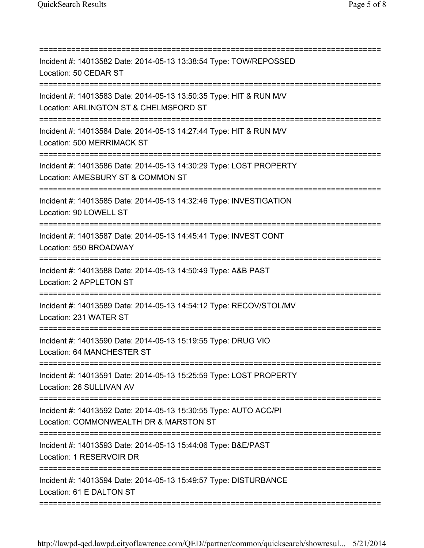| Incident #: 14013582 Date: 2014-05-13 13:38:54 Type: TOW/REPOSSED<br>Location: 50 CEDAR ST                          |
|---------------------------------------------------------------------------------------------------------------------|
| Incident #: 14013583 Date: 2014-05-13 13:50:35 Type: HIT & RUN M/V<br>Location: ARLINGTON ST & CHELMSFORD ST        |
| Incident #: 14013584 Date: 2014-05-13 14:27:44 Type: HIT & RUN M/V<br>Location: 500 MERRIMACK ST                    |
| Incident #: 14013586 Date: 2014-05-13 14:30:29 Type: LOST PROPERTY<br>Location: AMESBURY ST & COMMON ST             |
| Incident #: 14013585 Date: 2014-05-13 14:32:46 Type: INVESTIGATION<br>Location: 90 LOWELL ST                        |
| Incident #: 14013587 Date: 2014-05-13 14:45:41 Type: INVEST CONT<br>Location: 550 BROADWAY                          |
| Incident #: 14013588 Date: 2014-05-13 14:50:49 Type: A&B PAST<br>Location: 2 APPLETON ST                            |
| Incident #: 14013589 Date: 2014-05-13 14:54:12 Type: RECOV/STOL/MV<br>Location: 231 WATER ST                        |
| Incident #: 14013590 Date: 2014-05-13 15:19:55 Type: DRUG VIO<br>Location: 64 MANCHESTER ST                         |
| Incident #: 14013591 Date: 2014-05-13 15:25:59 Type: LOST PROPERTY<br>Location: 26 SULLIVAN AV                      |
| Incident #: 14013592 Date: 2014-05-13 15:30:55 Type: AUTO ACC/PI<br>Location: COMMONWEALTH DR & MARSTON ST          |
| Incident #: 14013593 Date: 2014-05-13 15:44:06 Type: B&E/PAST<br>Location: 1 RESERVOIR DR                           |
| Incident #: 14013594 Date: 2014-05-13 15:49:57 Type: DISTURBANCE<br>Location: 61 E DALTON ST<br>=================== |
|                                                                                                                     |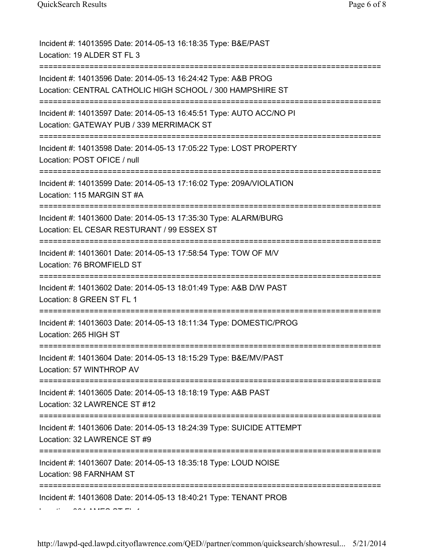| Incident #: 14013595 Date: 2014-05-13 16:18:35 Type: B&E/PAST<br>Location: 19 ALDER ST FL 3                                                            |
|--------------------------------------------------------------------------------------------------------------------------------------------------------|
| Incident #: 14013596 Date: 2014-05-13 16:24:42 Type: A&B PROG<br>Location: CENTRAL CATHOLIC HIGH SCHOOL / 300 HAMPSHIRE ST                             |
| Incident #: 14013597 Date: 2014-05-13 16:45:51 Type: AUTO ACC/NO PI<br>Location: GATEWAY PUB / 339 MERRIMACK ST<br>=================================== |
| Incident #: 14013598 Date: 2014-05-13 17:05:22 Type: LOST PROPERTY<br>Location: POST OFICE / null                                                      |
| Incident #: 14013599 Date: 2014-05-13 17:16:02 Type: 209A/VIOLATION<br>Location: 115 MARGIN ST #A                                                      |
| Incident #: 14013600 Date: 2014-05-13 17:35:30 Type: ALARM/BURG<br>Location: EL CESAR RESTURANT / 99 ESSEX ST                                          |
| Incident #: 14013601 Date: 2014-05-13 17:58:54 Type: TOW OF M/V<br>Location: 76 BROMFIELD ST                                                           |
| Incident #: 14013602 Date: 2014-05-13 18:01:49 Type: A&B D/W PAST<br>Location: 8 GREEN ST FL 1                                                         |
| Incident #: 14013603 Date: 2014-05-13 18:11:34 Type: DOMESTIC/PROG<br>Location: 265 HIGH ST                                                            |
| Incident #: 14013604 Date: 2014-05-13 18:15:29 Type: B&E/MV/PAST<br>Location: 57 WINTHROP AV                                                           |
| Incident #: 14013605 Date: 2014-05-13 18:18:19 Type: A&B PAST<br>Location: 32 LAWRENCE ST #12                                                          |
| Incident #: 14013606 Date: 2014-05-13 18:24:39 Type: SUICIDE ATTEMPT<br>Location: 32 LAWRENCE ST #9                                                    |
| Incident #: 14013607 Date: 2014-05-13 18:35:18 Type: LOUD NOISE<br>Location: 98 FARNHAM ST                                                             |
| Incident #: 14013608 Date: 2014-05-13 18:40:21 Type: TENANT PROB                                                                                       |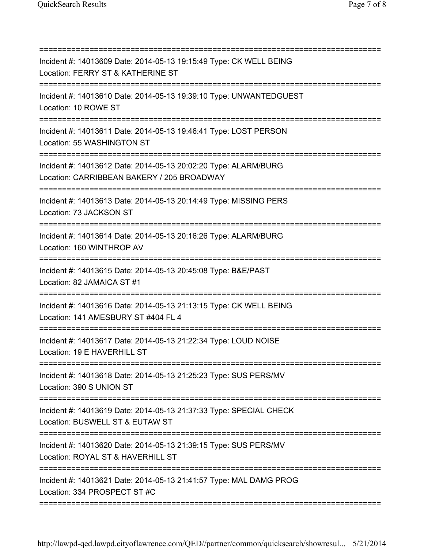| Incident #: 14013609 Date: 2014-05-13 19:15:49 Type: CK WELL BEING<br>Location: FERRY ST & KATHERINE ST                                  |
|------------------------------------------------------------------------------------------------------------------------------------------|
| Incident #: 14013610 Date: 2014-05-13 19:39:10 Type: UNWANTEDGUEST<br>Location: 10 ROWE ST                                               |
| Incident #: 14013611 Date: 2014-05-13 19:46:41 Type: LOST PERSON<br>Location: 55 WASHINGTON ST                                           |
| Incident #: 14013612 Date: 2014-05-13 20:02:20 Type: ALARM/BURG<br>Location: CARRIBBEAN BAKERY / 205 BROADWAY                            |
| Incident #: 14013613 Date: 2014-05-13 20:14:49 Type: MISSING PERS<br>Location: 73 JACKSON ST                                             |
| Incident #: 14013614 Date: 2014-05-13 20:16:26 Type: ALARM/BURG<br>Location: 160 WINTHROP AV                                             |
| Incident #: 14013615 Date: 2014-05-13 20:45:08 Type: B&E/PAST<br>Location: 82 JAMAICA ST #1                                              |
| Incident #: 14013616 Date: 2014-05-13 21:13:15 Type: CK WELL BEING<br>Location: 141 AMESBURY ST #404 FL 4<br>;========================== |
| Incident #: 14013617 Date: 2014-05-13 21:22:34 Type: LOUD NOISE<br>Location: 19 E HAVERHILL ST                                           |
| Incident #: 14013618 Date: 2014-05-13 21:25:23 Type: SUS PERS/MV<br>Location: 390 S UNION ST                                             |
| Incident #: 14013619 Date: 2014-05-13 21:37:33 Type: SPECIAL CHECK<br>Location: BUSWELL ST & EUTAW ST                                    |
| ===============<br>Incident #: 14013620 Date: 2014-05-13 21:39:15 Type: SUS PERS/MV<br>Location: ROYAL ST & HAVERHILL ST                 |
| Incident #: 14013621 Date: 2014-05-13 21:41:57 Type: MAL DAMG PROG<br>Location: 334 PROSPECT ST #C                                       |
|                                                                                                                                          |